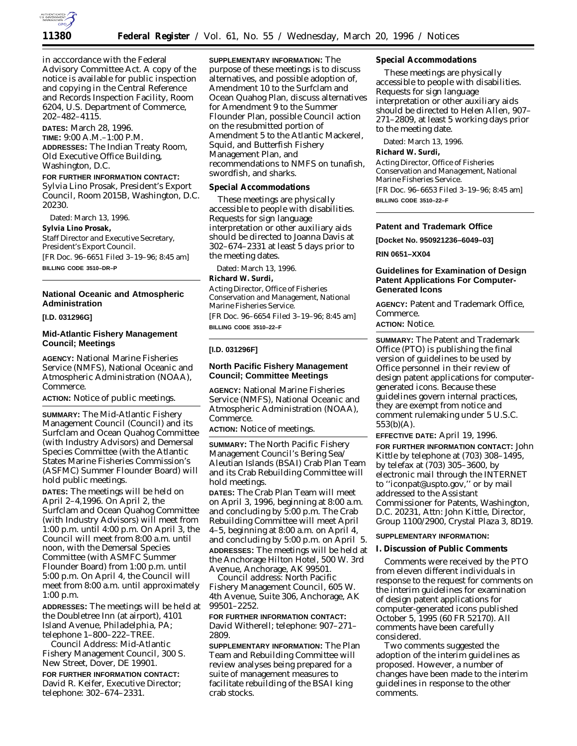

in acccordance with the Federal Advisory Committee Act. A copy of the notice is available for public inspection and copying in the Central Reference and Records Inspection Facility, Room 6204, U.S. Department of Commerce, 202–482–4115.

**DATES:** March 28, 1996. **TIME:** 9:00 A.M.–1:00 P.M. **ADDRESSES:** The Indian Treaty Room, Old Executive Office Building, Washington, D.C.

#### **FOR FURTHER INFORMATION CONTACT:**

Sylvia Lino Prosak, President's Export Council, Room 2015B, Washington, D.C. 20230.

Dated: March 13, 1996. **Sylvia Lino Prosak,** *Staff Director and Executive Secretary, President's Export Council.* [FR Doc. 96–6651 Filed 3–19–96; 8:45 am] **BILLING CODE 3510–DR–P**

# **National Oceanic and Atmospheric Administration**

**[I.D. 031296G]**

#### **Mid-Atlantic Fishery Management Council; Meetings**

**AGENCY:** National Marine Fisheries Service (NMFS), National Oceanic and Atmospheric Administration (NOAA), Commerce.

**ACTION:** Notice of public meetings.

**SUMMARY:** The Mid-Atlantic Fishery Management Council (Council) and its Surfclam and Ocean Quahog Committee (with Industry Advisors) and Demersal Species Committee (with the Atlantic States Marine Fisheries Commission's (ASFMC) Summer Flounder Board) will hold public meetings.

**DATES:** The meetings will be held on April 2–4,1996. On April 2, the Surfclam and Ocean Quahog Committee (with Industry Advisors) will meet from 1:00 p.m. until 4:00 p.m. On April 3, the Council will meet from 8:00 a.m. until noon, with the Demersal Species Committee (with ASMFC Summer Flounder Board) from 1:00 p.m. until 5:00 p.m. On April 4, the Council will meet from 8:00 a.m. until approximately 1:00 p.m.

**ADDRESSES:** The meetings will be held at the Doubletree Inn (at airport), 4101 Island Avenue, Philadelphia, PA; telephone 1–800–222–TREE.

*Council Address*: Mid-Atlantic Fishery Management Council, 300 S. New Street, Dover, DE 19901.

**FOR FURTHER INFORMATION CONTACT:** David R. Keifer, Executive Director; telephone: 302–674–2331.

**SUPPLEMENTARY INFORMATION:** The purpose of these meetings is to discuss alternatives, and possible adoption of, Amendment 10 to the Surfclam and Ocean Quahog Plan, discuss alternatives for Amendment 9 to the Summer Flounder Plan, possible Council action on the resubmitted portion of Amendment 5 to the Atlantic Mackerel, Squid, and Butterfish Fishery Management Plan, and recommendations to NMFS on tunafish, swordfish, and sharks.

**Special Accommodations**

These meetings are physically accessible to people with disabilities. Requests for sign language interpretation or other auxiliary aids should be directed to Joanna Davis at 302–674–2331 at least 5 days prior to the meeting dates.

Dated: March 13, 1996.

**Richard W. Surdi,**

*Acting Director, Office of Fisheries Conservation and Management, National Marine Fisheries Service.* [FR Doc. 96–6654 Filed 3–19–96; 8:45 am] **BILLING CODE 3510–22–F**

# **[I.D. 031296F]**

### **North Pacific Fishery Management Council; Committee Meetings**

**AGENCY:** National Marine Fisheries Service (NMFS), National Oceanic and Atmospheric Administration (NOAA), Commerce.

**ACTION:** Notice of meetings.

**SUMMARY:** The North Pacific Fishery Management Council's Bering Sea/ Aleutian Islands (BSAI) Crab Plan Team and its Crab Rebuilding Committee will hold meetings.

**DATES:** The Crab Plan Team will meet on April 3, 1996, beginning at 8:00 a.m. and concluding by 5:00 p.m. The Crab Rebuilding Committee will meet April 4–5, beginning at 8:00 a.m. on April 4, and concluding by 5:00 p.m. on April 5. **ADDRESSES:** The meetings will be held at the Anchorage Hilton Hotel, 500 W. 3rd Avenue, Anchorage, AK 99501.

*Council address*: North Pacific Fishery Management Council, 605 W. 4th Avenue, Suite 306, Anchorage, AK 99501–2252.

**FOR FURTHER INFORMATION CONTACT:** David Witherell; telephone: 907–271– 2809.

**SUPPLEMENTARY INFORMATION:** The Plan Team and Rebuilding Committee will review analyses being prepared for a suite of management measures to facilitate rebuilding of the BSAI king crab stocks.

**Special Accommodations**

These meetings are physically accessible to people with disabilities. Requests for sign language interpretation or other auxiliary aids should be directed to Helen Allen, 907– 271–2809, at least 5 working days prior to the meeting date.

Dated: March 13, 1996.

**Richard W. Surdi,** *Acting Director, Office of Fisheries Conservation and Management, National Marine Fisheries Service.* [FR Doc. 96–6653 Filed 3–19–96; 8:45 am] **BILLING CODE 3510–22–F**

## **Patent and Trademark Office**

**[Docket No. 950921236–6049–03]**

**RIN 0651–XX04**

## **Guidelines for Examination of Design Patent Applications For Computer-Generated Icons**

**AGENCY:** Patent and Trademark Office, Commerce.

**ACTION:** Notice.

**SUMMARY:** The Patent and Trademark Office (PTO) is publishing the final version of guidelines to be used by Office personnel in their review of design patent applications for computergenerated icons. Because these guidelines govern internal practices, they are exempt from notice and comment rulemaking under 5 U.S.C. 553(b)(A).

**EFFECTIVE DATE:** April 19, 1996. **FOR FURTHER INFORMATION CONTACT:** John Kittle by telephone at (703) 308–1495, by telefax at (703) 305–3600, by electronic mail through the INTERNET to ''iconpat@uspto.gov,'' or by mail addressed to the Assistant Commissioner for Patents, Washington, D.C. 20231, Attn: John Kittle, Director, Group 1100/2900, Crystal Plaza 3, 8D19.

#### **SUPPLEMENTARY INFORMATION:**

**I. Discussion of Public Comments**

Comments were received by the PTO from eleven different individuals in response to the request for comments on the interim guidelines for examination of design patent applications for computer-generated icons published October 5, 1995 (60 FR 52170). All comments have been carefully considered.

Two comments suggested the adoption of the interim guidelines as proposed. However, a number of changes have been made to the interim guidelines in response to the other comments.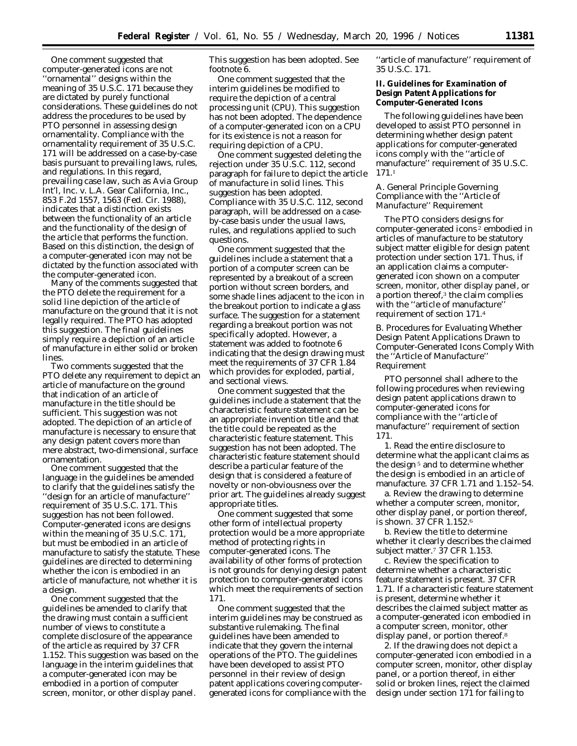One comment suggested that computer-generated icons are not 'ornamental'' designs within the meaning of 35 U.S.C. 171 because they are dictated by purely functional considerations. These guidelines do not address the procedures to be used by PTO personnel in assessing design ornamentality. Compliance with the ornamentality requirement of 35 U.S.C. 171 will be addressed on a case-by-case basis pursuant to prevailing laws, rules, and regulations. In this regard, prevailing case law, such as *Avia Group Int'l, Inc. v. L.A. Gear California, Inc.,* 853 F.2d 1557, 1563 (Fed. Cir. 1988), indicates that a distinction exists between the functionality of an article and the functionality of the design of the article that performs the function. Based on this distinction, the design of a computer-generated icon may not be dictated by the function associated with the computer-generated icon.

Many of the comments suggested that the PTO delete the requirement for a solid line depiction of the article of manufacture on the ground that it is not legally required. The PTO has adopted this suggestion. The final guidelines simply require a depiction of an article of manufacture in either solid or broken lines.

Two comments suggested that the PTO delete any requirement to depict an article of manufacture on the ground that indication of an article of manufacture in the title should be sufficient. This suggestion was not adopted. The depiction of an article of manufacture is necessary to ensure that any design patent covers more than mere abstract, two-dimensional, surface ornamentation.

One comment suggested that the language in the guidelines be amended to clarify that the guidelines satisfy the ''design for an article of manufacture'' requirement of 35 U.S.C. 171. This suggestion has not been followed. Computer-generated icons are designs within the meaning of 35 U.S.C. 171, but must be embodied in an article of manufacture to satisfy the statute. These guidelines are directed to determining whether the icon is embodied in an article of manufacture, not whether it is a design.

One comment suggested that the guidelines be amended to clarify that the drawing must contain a sufficient number of views to constitute a complete disclosure of the appearance of the article as required by 37 CFR 1.152. This suggestion was based on the language in the interim guidelines that a computer-generated icon may be embodied in a portion of computer screen, monitor, or other display panel.

This suggestion has been adopted. See footnote 6.

One comment suggested that the interim guidelines be modified to require the depiction of a central processing unit (CPU). This suggestion has not been adopted. The dependence of a computer-generated icon on a CPU for its existence is not a reason for requiring depiction of a CPU.

One comment suggested deleting the rejection under 35 U.S.C. 112, second paragraph for failure to depict the article of manufacture in solid lines. This suggestion has been adopted. Compliance with 35 U.S.C. 112, second paragraph, will be addressed on a caseby-case basis under the usual laws, rules, and regulations applied to such questions.

One comment suggested that the guidelines include a statement that a portion of a computer screen can be represented by a breakout of a screen portion without screen borders, and some shade lines adjacent to the icon in the breakout portion to indicate a glass surface. The suggestion for a statement regarding a breakout portion was not specifically adopted. However, a statement was added to footnote 6 indicating that the design drawing must meet the requirements of 37 CFR 1.84 which provides for exploded, partial, and sectional views.

One comment suggested that the guidelines include a statement that the characteristic feature statement can be an appropriate invention title and that the title could be repeated as the characteristic feature statement. This suggestion has not been adopted. The characteristic feature statement should describe a particular feature of the design that is considered a feature of novelty or non-obviousness over the prior art. The guidelines already suggest appropriate titles.

One comment suggested that some other form of intellectual property protection would be a more appropriate method of protecting rights in computer-generated icons. The availability of other forms of protection is not grounds for denying design patent protection to computer-generated icons which meet the requirements of section 171.

One comment suggested that the interim guidelines may be construed as substantive rulemaking. The final guidelines have been amended to indicate that they govern the internal operations of the PTO. The guidelines have been developed to assist PTO personnel in their review of design patent applications covering computergenerated icons for compliance with the

''article of manufacture'' requirement of 35 U.S.C. 171.

**II. Guidelines for Examination of Design Patent Applications for Computer-Generated Icons**

The following guidelines have been developed to assist PTO personnel in determining whether design patent applications for computer-generated icons comply with the ''article of manufacture'' requirement of 35 U.S.C. 171.1

## *A. General Principle Governing Compliance with the ''Article of Manufacture'' Requirement*

The PTO considers designs for computer-generated icons 2 embodied in articles of manufacture to be statutory subject matter eligible for design patent protection under section 171. Thus, if an application claims a computergenerated icon shown on a computer screen, monitor, other display panel, or a portion thereof, $3$  the claim complies with the ''article of manufacture'' requirement of section 171.4

## *B. Procedures for Evaluating Whether Design Patent Applications Drawn to Computer-Generated Icons Comply With the ''Article of Manufacture'' Requirement*

PTO personnel shall adhere to the following procedures when reviewing design patent applications drawn to computer-generated icons for compliance with the ''article of manufacture'' requirement of section 171.

1. Read the entire disclosure to determine what the applicant claims as the design 5 and to determine whether the design is embodied in an article of manufacture. 37 CFR 1.71 and 1.152–54.

a. Review the drawing to determine whether a computer screen, monitor, other display panel, or portion thereof, is shown. 37 CFR 1.152.6

b. Review the title to determine whether it clearly describes the claimed subject matter.7 37 CFR 1.153.

c. Review the specification to determine whether a characteristic feature statement is present. 37 CFR 1.71. If a characteristic feature statement is present, determine whether it describes the claimed subject matter as a computer-generated icon embodied in a computer screen, monitor, other display panel, or portion thereof.<sup>8</sup>

2. If the drawing does not depict a computer-generated icon embodied in a computer screen, monitor, other display panel, or a portion thereof, in either solid or broken lines, reject the claimed design under section 171 for failing to